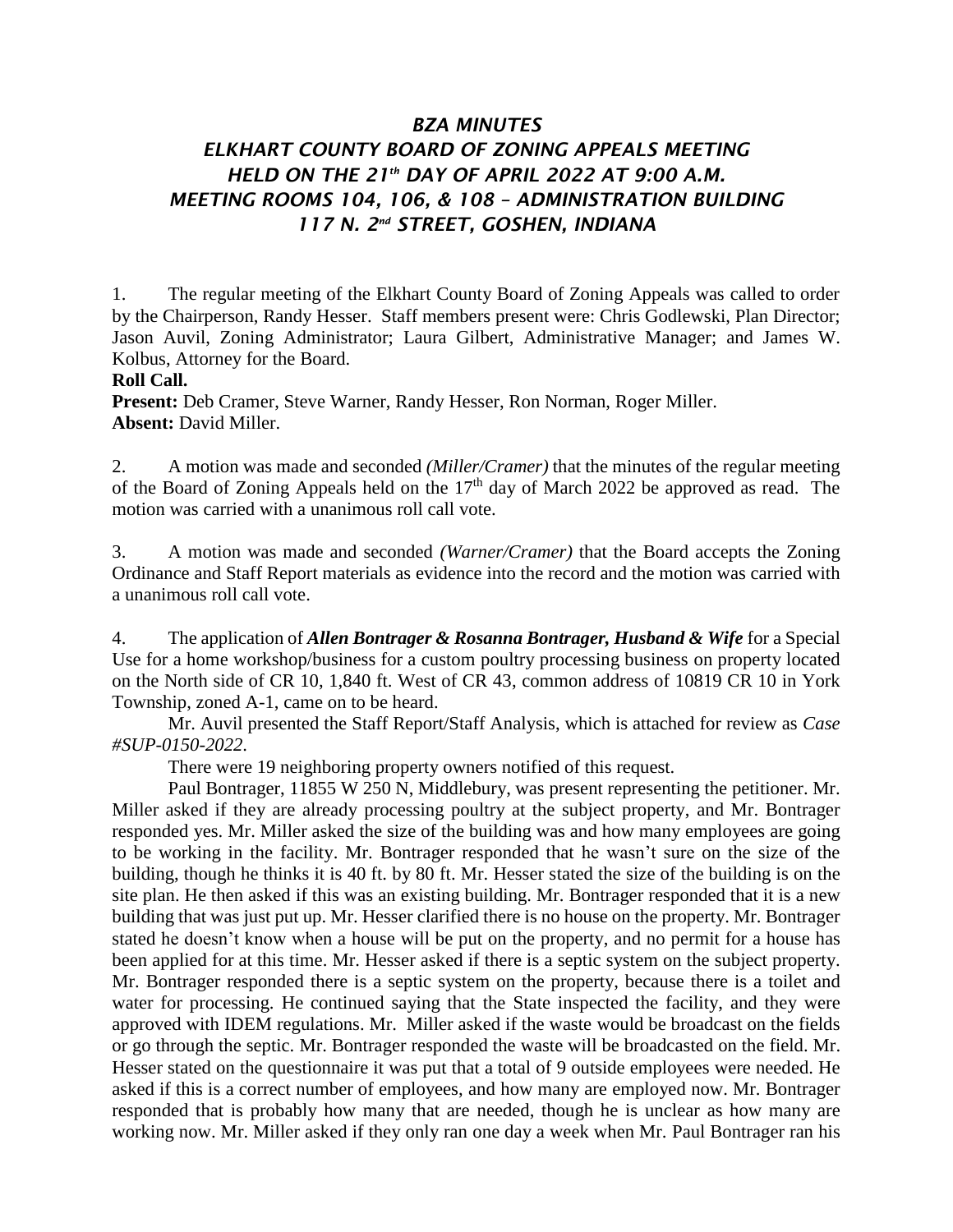## *BZA MINUTES ELKHART COUNTY BOARD OF ZONING APPEALS MEETING HELD ON THE 21 th DAY OF APRIL 2022 AT 9:00 A.M. MEETING ROOMS 104, 106, & 108 – ADMINISTRATION BUILDING 117 N. 2nd STREET, GOSHEN, INDIANA*

1. The regular meeting of the Elkhart County Board of Zoning Appeals was called to order by the Chairperson, Randy Hesser. Staff members present were: Chris Godlewski, Plan Director; Jason Auvil, Zoning Administrator; Laura Gilbert, Administrative Manager; and James W. Kolbus, Attorney for the Board.

## **Roll Call.**

**Present:** Deb Cramer, Steve Warner, Randy Hesser, Ron Norman, Roger Miller. **Absent:** David Miller.

2. A motion was made and seconded *(Miller/Cramer)* that the minutes of the regular meeting of the Board of Zoning Appeals held on the  $17<sup>th</sup>$  day of March 2022 be approved as read. The motion was carried with a unanimous roll call vote.

3. A motion was made and seconded *(Warner/Cramer)* that the Board accepts the Zoning Ordinance and Staff Report materials as evidence into the record and the motion was carried with a unanimous roll call vote.

4. The application of *Allen Bontrager & Rosanna Bontrager, Husband & Wife* for a Special Use for a home workshop/business for a custom poultry processing business on property located on the North side of CR 10, 1,840 ft. West of CR 43, common address of 10819 CR 10 in York Township, zoned A-1, came on to be heard.

Mr. Auvil presented the Staff Report/Staff Analysis, which is attached for review as *Case #SUP-0150-2022*.

There were 19 neighboring property owners notified of this request.

Paul Bontrager, 11855 W 250 N, Middlebury, was present representing the petitioner. Mr. Miller asked if they are already processing poultry at the subject property, and Mr. Bontrager responded yes. Mr. Miller asked the size of the building was and how many employees are going to be working in the facility. Mr. Bontrager responded that he wasn't sure on the size of the building, though he thinks it is 40 ft. by 80 ft. Mr. Hesser stated the size of the building is on the site plan. He then asked if this was an existing building. Mr. Bontrager responded that it is a new building that was just put up. Mr. Hesser clarified there is no house on the property. Mr. Bontrager stated he doesn't know when a house will be put on the property, and no permit for a house has been applied for at this time. Mr. Hesser asked if there is a septic system on the subject property. Mr. Bontrager responded there is a septic system on the property, because there is a toilet and water for processing. He continued saying that the State inspected the facility, and they were approved with IDEM regulations. Mr. Miller asked if the waste would be broadcast on the fields or go through the septic. Mr. Bontrager responded the waste will be broadcasted on the field. Mr. Hesser stated on the questionnaire it was put that a total of 9 outside employees were needed. He asked if this is a correct number of employees, and how many are employed now. Mr. Bontrager responded that is probably how many that are needed, though he is unclear as how many are working now. Mr. Miller asked if they only ran one day a week when Mr. Paul Bontrager ran his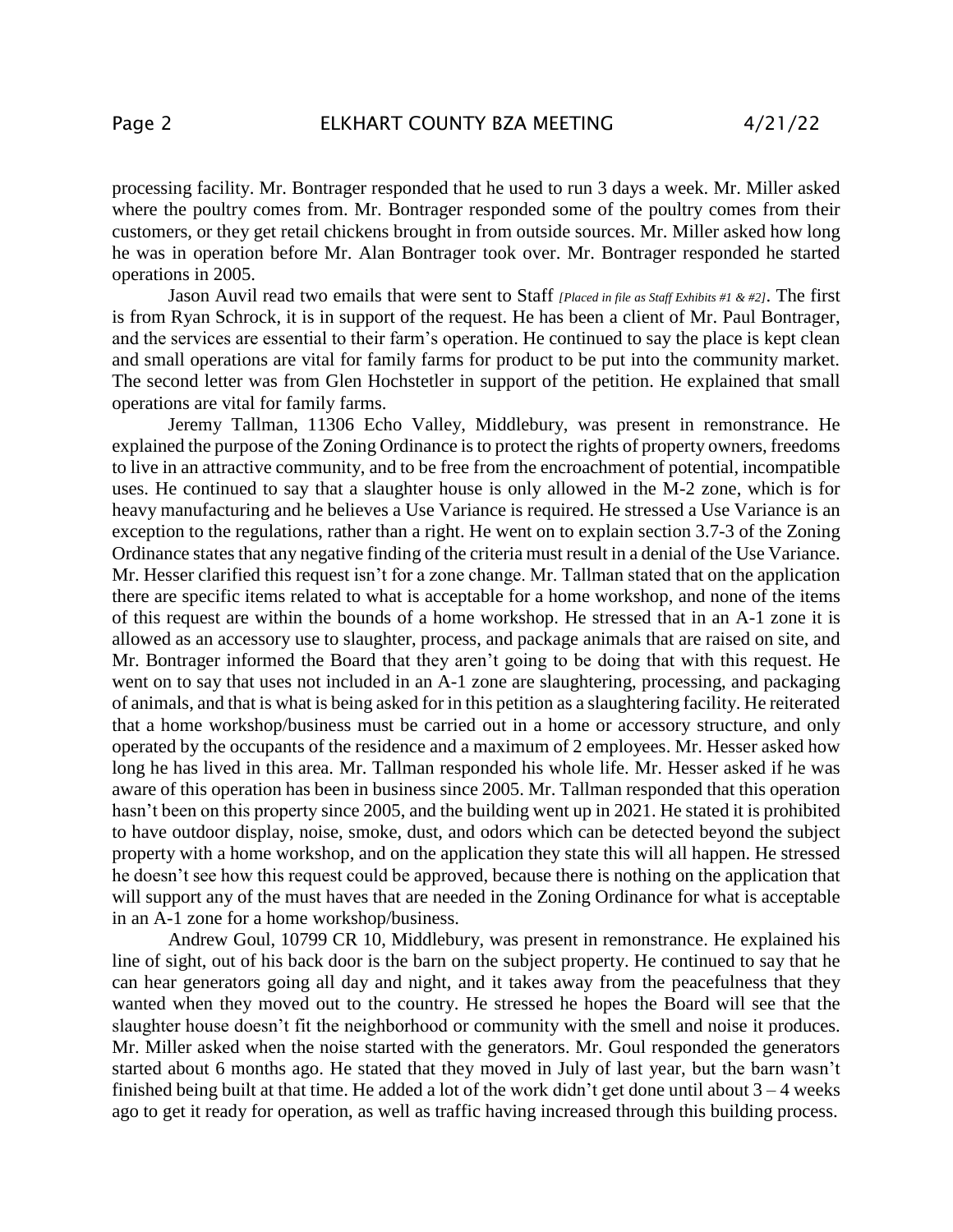processing facility. Mr. Bontrager responded that he used to run 3 days a week. Mr. Miller asked where the poultry comes from. Mr. Bontrager responded some of the poultry comes from their customers, or they get retail chickens brought in from outside sources. Mr. Miller asked how long he was in operation before Mr. Alan Bontrager took over. Mr. Bontrager responded he started operations in 2005.

Jason Auvil read two emails that were sent to Staff *[Placed in file as Staff Exhibits #1 & #2]*. The first is from Ryan Schrock, it is in support of the request. He has been a client of Mr. Paul Bontrager, and the services are essential to their farm's operation. He continued to say the place is kept clean and small operations are vital for family farms for product to be put into the community market. The second letter was from Glen Hochstetler in support of the petition. He explained that small operations are vital for family farms.

Jeremy Tallman, 11306 Echo Valley, Middlebury, was present in remonstrance. He explained the purpose of the Zoning Ordinance is to protect the rights of property owners, freedoms to live in an attractive community, and to be free from the encroachment of potential, incompatible uses. He continued to say that a slaughter house is only allowed in the M-2 zone, which is for heavy manufacturing and he believes a Use Variance is required. He stressed a Use Variance is an exception to the regulations, rather than a right. He went on to explain section 3.7-3 of the Zoning Ordinance states that any negative finding of the criteria must result in a denial of the Use Variance. Mr. Hesser clarified this request isn't for a zone change. Mr. Tallman stated that on the application there are specific items related to what is acceptable for a home workshop, and none of the items of this request are within the bounds of a home workshop. He stressed that in an A-1 zone it is allowed as an accessory use to slaughter, process, and package animals that are raised on site, and Mr. Bontrager informed the Board that they aren't going to be doing that with this request. He went on to say that uses not included in an A-1 zone are slaughtering, processing, and packaging of animals, and that is what is being asked for in this petition as a slaughtering facility. He reiterated that a home workshop/business must be carried out in a home or accessory structure, and only operated by the occupants of the residence and a maximum of 2 employees. Mr. Hesser asked how long he has lived in this area. Mr. Tallman responded his whole life. Mr. Hesser asked if he was aware of this operation has been in business since 2005. Mr. Tallman responded that this operation hasn't been on this property since 2005, and the building went up in 2021. He stated it is prohibited to have outdoor display, noise, smoke, dust, and odors which can be detected beyond the subject property with a home workshop, and on the application they state this will all happen. He stressed he doesn't see how this request could be approved, because there is nothing on the application that will support any of the must haves that are needed in the Zoning Ordinance for what is acceptable in an A-1 zone for a home workshop/business.

Andrew Goul, 10799 CR 10, Middlebury, was present in remonstrance. He explained his line of sight, out of his back door is the barn on the subject property. He continued to say that he can hear generators going all day and night, and it takes away from the peacefulness that they wanted when they moved out to the country. He stressed he hopes the Board will see that the slaughter house doesn't fit the neighborhood or community with the smell and noise it produces. Mr. Miller asked when the noise started with the generators. Mr. Goul responded the generators started about 6 months ago. He stated that they moved in July of last year, but the barn wasn't finished being built at that time. He added a lot of the work didn't get done until about  $3 - 4$  weeks ago to get it ready for operation, as well as traffic having increased through this building process.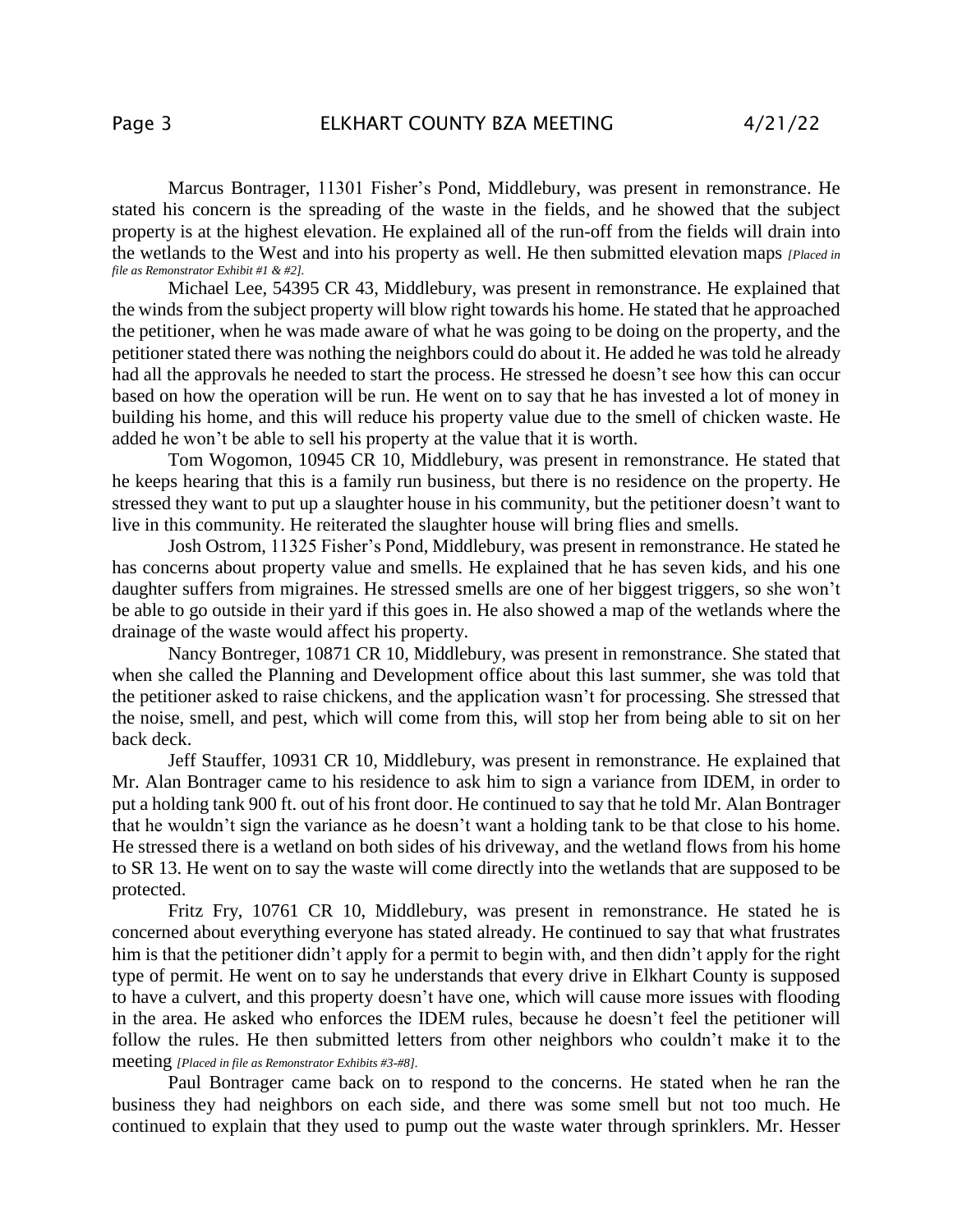Marcus Bontrager, 11301 Fisher's Pond, Middlebury, was present in remonstrance. He stated his concern is the spreading of the waste in the fields, and he showed that the subject property is at the highest elevation. He explained all of the run-off from the fields will drain into the wetlands to the West and into his property as well. He then submitted elevation maps *[Placed in file as Remonstrator Exhibit #1 & #2].*

Michael Lee, 54395 CR 43, Middlebury, was present in remonstrance. He explained that the winds from the subject property will blow right towards his home. He stated that he approached the petitioner, when he was made aware of what he was going to be doing on the property, and the petitioner stated there was nothing the neighbors could do about it. He added he was told he already had all the approvals he needed to start the process. He stressed he doesn't see how this can occur based on how the operation will be run. He went on to say that he has invested a lot of money in building his home, and this will reduce his property value due to the smell of chicken waste. He added he won't be able to sell his property at the value that it is worth.

Tom Wogomon, 10945 CR 10, Middlebury, was present in remonstrance. He stated that he keeps hearing that this is a family run business, but there is no residence on the property. He stressed they want to put up a slaughter house in his community, but the petitioner doesn't want to live in this community. He reiterated the slaughter house will bring flies and smells.

Josh Ostrom, 11325 Fisher's Pond, Middlebury, was present in remonstrance. He stated he has concerns about property value and smells. He explained that he has seven kids, and his one daughter suffers from migraines. He stressed smells are one of her biggest triggers, so she won't be able to go outside in their yard if this goes in. He also showed a map of the wetlands where the drainage of the waste would affect his property.

Nancy Bontreger, 10871 CR 10, Middlebury, was present in remonstrance. She stated that when she called the Planning and Development office about this last summer, she was told that the petitioner asked to raise chickens, and the application wasn't for processing. She stressed that the noise, smell, and pest, which will come from this, will stop her from being able to sit on her back deck.

Jeff Stauffer, 10931 CR 10, Middlebury, was present in remonstrance. He explained that Mr. Alan Bontrager came to his residence to ask him to sign a variance from IDEM, in order to put a holding tank 900 ft. out of his front door. He continued to say that he told Mr. Alan Bontrager that he wouldn't sign the variance as he doesn't want a holding tank to be that close to his home. He stressed there is a wetland on both sides of his driveway, and the wetland flows from his home to SR 13. He went on to say the waste will come directly into the wetlands that are supposed to be protected.

Fritz Fry, 10761 CR 10, Middlebury, was present in remonstrance. He stated he is concerned about everything everyone has stated already. He continued to say that what frustrates him is that the petitioner didn't apply for a permit to begin with, and then didn't apply for the right type of permit. He went on to say he understands that every drive in Elkhart County is supposed to have a culvert, and this property doesn't have one, which will cause more issues with flooding in the area. He asked who enforces the IDEM rules, because he doesn't feel the petitioner will follow the rules. He then submitted letters from other neighbors who couldn't make it to the meeting *[Placed in file as Remonstrator Exhibits #3-#8].*

Paul Bontrager came back on to respond to the concerns. He stated when he ran the business they had neighbors on each side, and there was some smell but not too much. He continued to explain that they used to pump out the waste water through sprinklers. Mr. Hesser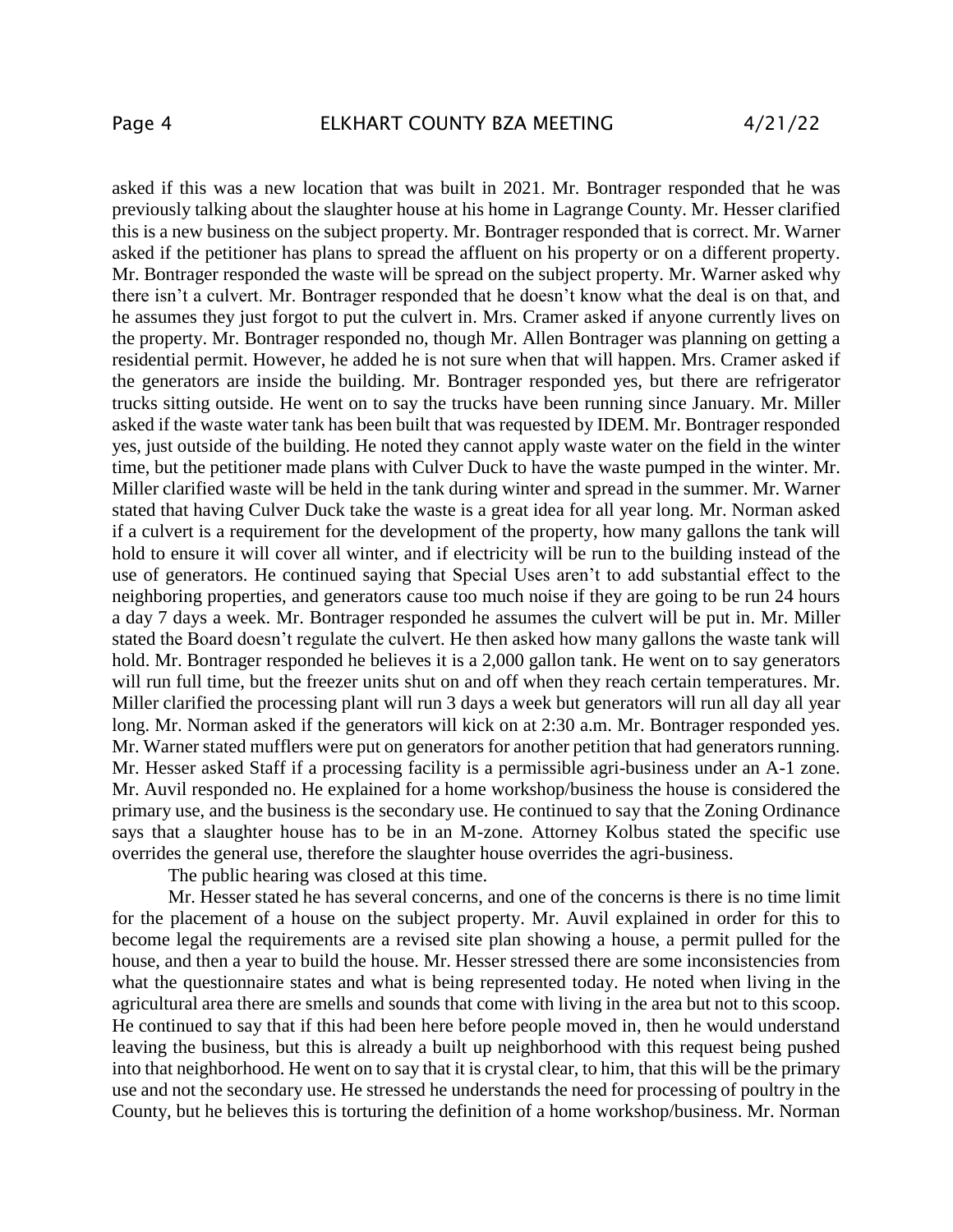asked if this was a new location that was built in 2021. Mr. Bontrager responded that he was previously talking about the slaughter house at his home in Lagrange County. Mr. Hesser clarified this is a new business on the subject property. Mr. Bontrager responded that is correct. Mr. Warner asked if the petitioner has plans to spread the affluent on his property or on a different property. Mr. Bontrager responded the waste will be spread on the subject property. Mr. Warner asked why there isn't a culvert. Mr. Bontrager responded that he doesn't know what the deal is on that, and he assumes they just forgot to put the culvert in. Mrs. Cramer asked if anyone currently lives on the property. Mr. Bontrager responded no, though Mr. Allen Bontrager was planning on getting a residential permit. However, he added he is not sure when that will happen. Mrs. Cramer asked if the generators are inside the building. Mr. Bontrager responded yes, but there are refrigerator trucks sitting outside. He went on to say the trucks have been running since January. Mr. Miller asked if the waste water tank has been built that was requested by IDEM. Mr. Bontrager responded yes, just outside of the building. He noted they cannot apply waste water on the field in the winter time, but the petitioner made plans with Culver Duck to have the waste pumped in the winter. Mr. Miller clarified waste will be held in the tank during winter and spread in the summer. Mr. Warner stated that having Culver Duck take the waste is a great idea for all year long. Mr. Norman asked if a culvert is a requirement for the development of the property, how many gallons the tank will hold to ensure it will cover all winter, and if electricity will be run to the building instead of the use of generators. He continued saying that Special Uses aren't to add substantial effect to the neighboring properties, and generators cause too much noise if they are going to be run 24 hours a day 7 days a week. Mr. Bontrager responded he assumes the culvert will be put in. Mr. Miller stated the Board doesn't regulate the culvert. He then asked how many gallons the waste tank will hold. Mr. Bontrager responded he believes it is a 2,000 gallon tank. He went on to say generators will run full time, but the freezer units shut on and off when they reach certain temperatures. Mr. Miller clarified the processing plant will run 3 days a week but generators will run all day all year long. Mr. Norman asked if the generators will kick on at 2:30 a.m. Mr. Bontrager responded yes. Mr. Warner stated mufflers were put on generators for another petition that had generators running. Mr. Hesser asked Staff if a processing facility is a permissible agri-business under an A-1 zone. Mr. Auvil responded no. He explained for a home workshop/business the house is considered the primary use, and the business is the secondary use. He continued to say that the Zoning Ordinance says that a slaughter house has to be in an M-zone. Attorney Kolbus stated the specific use overrides the general use, therefore the slaughter house overrides the agri-business.

The public hearing was closed at this time.

Mr. Hesser stated he has several concerns, and one of the concerns is there is no time limit for the placement of a house on the subject property. Mr. Auvil explained in order for this to become legal the requirements are a revised site plan showing a house, a permit pulled for the house, and then a year to build the house. Mr. Hesser stressed there are some inconsistencies from what the questionnaire states and what is being represented today. He noted when living in the agricultural area there are smells and sounds that come with living in the area but not to this scoop. He continued to say that if this had been here before people moved in, then he would understand leaving the business, but this is already a built up neighborhood with this request being pushed into that neighborhood. He went on to say that it is crystal clear, to him, that this will be the primary use and not the secondary use. He stressed he understands the need for processing of poultry in the County, but he believes this is torturing the definition of a home workshop/business. Mr. Norman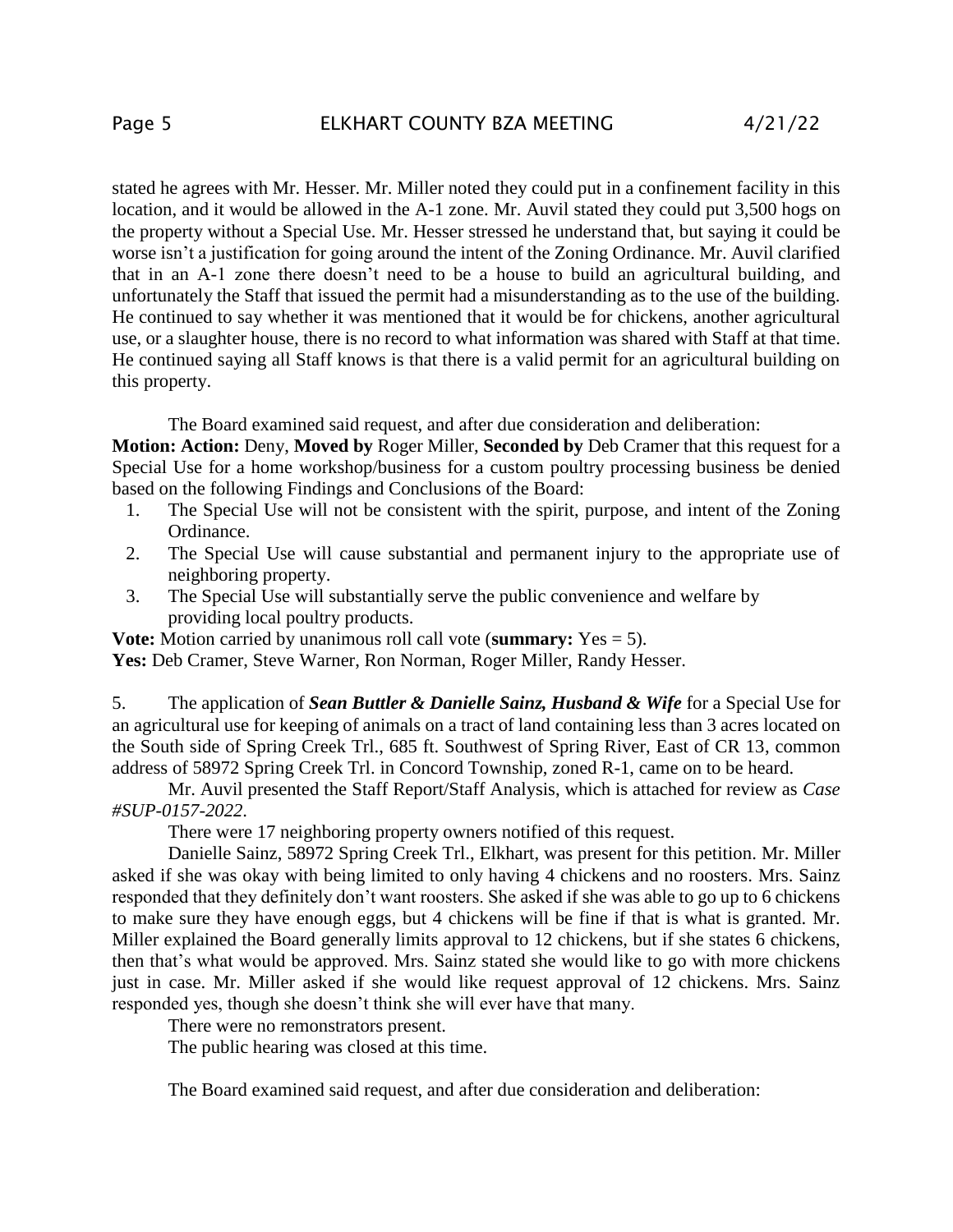stated he agrees with Mr. Hesser. Mr. Miller noted they could put in a confinement facility in this location, and it would be allowed in the A-1 zone. Mr. Auvil stated they could put 3,500 hogs on the property without a Special Use. Mr. Hesser stressed he understand that, but saying it could be worse isn't a justification for going around the intent of the Zoning Ordinance. Mr. Auvil clarified that in an A-1 zone there doesn't need to be a house to build an agricultural building, and unfortunately the Staff that issued the permit had a misunderstanding as to the use of the building. He continued to say whether it was mentioned that it would be for chickens, another agricultural use, or a slaughter house, there is no record to what information was shared with Staff at that time. He continued saying all Staff knows is that there is a valid permit for an agricultural building on this property.

The Board examined said request, and after due consideration and deliberation:

**Motion: Action:** Deny, **Moved by** Roger Miller, **Seconded by** Deb Cramer that this request for a Special Use for a home workshop/business for a custom poultry processing business be denied based on the following Findings and Conclusions of the Board:

- 1. The Special Use will not be consistent with the spirit, purpose, and intent of the Zoning Ordinance.
- 2. The Special Use will cause substantial and permanent injury to the appropriate use of neighboring property.
- 3. The Special Use will substantially serve the public convenience and welfare by providing local poultry products.

**Vote:** Motion carried by unanimous roll call vote (**summary:** Yes = 5).

Yes: Deb Cramer, Steve Warner, Ron Norman, Roger Miller, Randy Hesser.

5. The application of *Sean Buttler & Danielle Sainz, Husband & Wife* for a Special Use for an agricultural use for keeping of animals on a tract of land containing less than 3 acres located on the South side of Spring Creek Trl., 685 ft. Southwest of Spring River, East of CR 13, common address of 58972 Spring Creek Trl. in Concord Township, zoned R-1, came on to be heard.

Mr. Auvil presented the Staff Report/Staff Analysis, which is attached for review as *Case #SUP-0157-2022*.

There were 17 neighboring property owners notified of this request.

Danielle Sainz, 58972 Spring Creek Trl., Elkhart, was present for this petition. Mr. Miller asked if she was okay with being limited to only having 4 chickens and no roosters. Mrs. Sainz responded that they definitely don't want roosters. She asked if she was able to go up to 6 chickens to make sure they have enough eggs, but 4 chickens will be fine if that is what is granted. Mr. Miller explained the Board generally limits approval to 12 chickens, but if she states 6 chickens, then that's what would be approved. Mrs. Sainz stated she would like to go with more chickens just in case. Mr. Miller asked if she would like request approval of 12 chickens. Mrs. Sainz responded yes, though she doesn't think she will ever have that many.

There were no remonstrators present.

The public hearing was closed at this time.

The Board examined said request, and after due consideration and deliberation: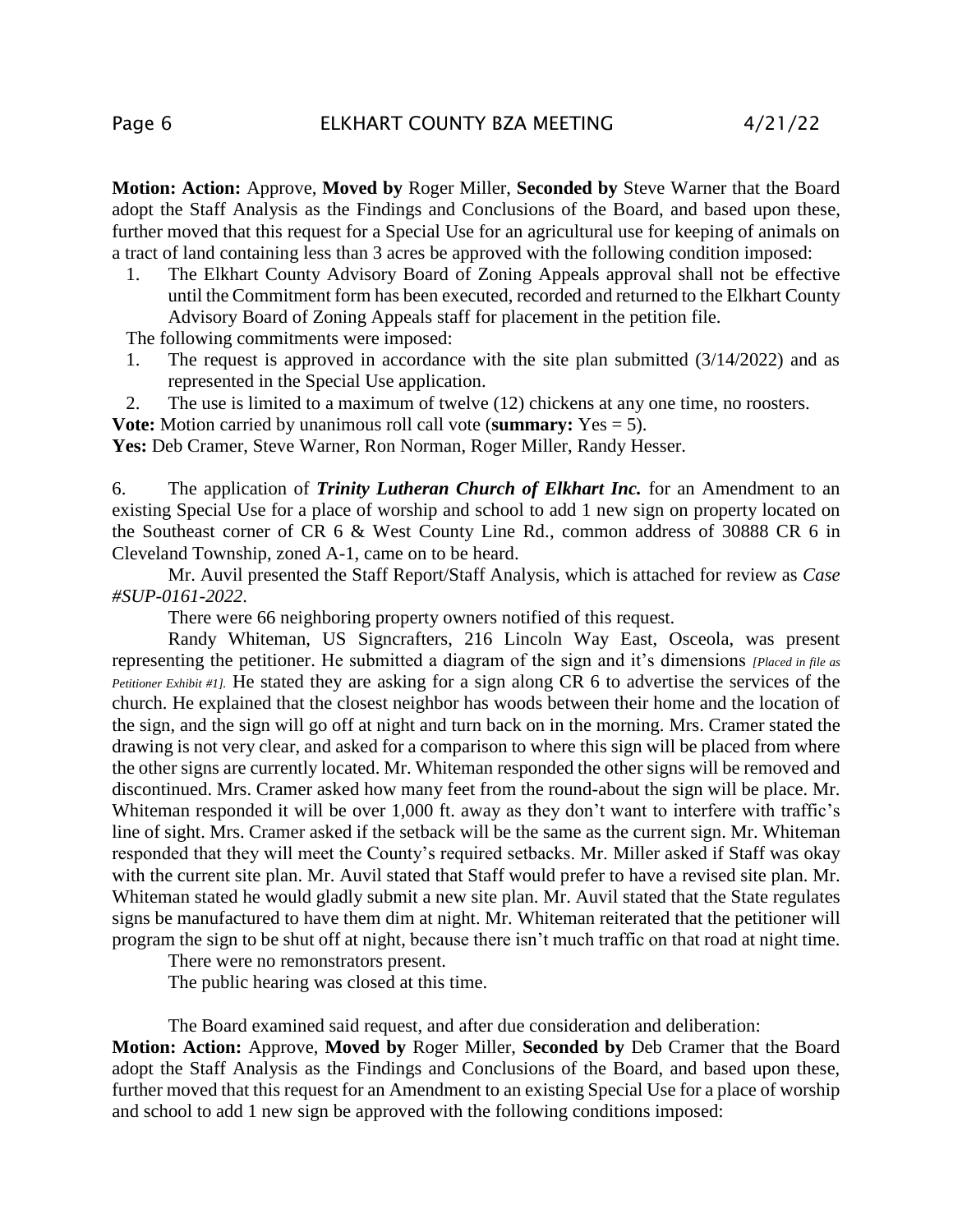**Motion: Action:** Approve, **Moved by** Roger Miller, **Seconded by** Steve Warner that the Board adopt the Staff Analysis as the Findings and Conclusions of the Board, and based upon these, further moved that this request for a Special Use for an agricultural use for keeping of animals on a tract of land containing less than 3 acres be approved with the following condition imposed:

1. The Elkhart County Advisory Board of Zoning Appeals approval shall not be effective until the Commitment form has been executed, recorded and returned to the Elkhart County Advisory Board of Zoning Appeals staff for placement in the petition file.

The following commitments were imposed:

- 1. The request is approved in accordance with the site plan submitted (3/14/2022) and as represented in the Special Use application.
- 2. The use is limited to a maximum of twelve (12) chickens at any one time, no roosters.
- **Vote:** Motion carried by unanimous roll call vote (**summary:** Yes = 5).

Yes: Deb Cramer, Steve Warner, Ron Norman, Roger Miller, Randy Hesser.

6. The application of *Trinity Lutheran Church of Elkhart Inc.* for an Amendment to an existing Special Use for a place of worship and school to add 1 new sign on property located on the Southeast corner of CR 6 & West County Line Rd., common address of 30888 CR 6 in Cleveland Township, zoned A-1, came on to be heard.

Mr. Auvil presented the Staff Report/Staff Analysis, which is attached for review as *Case #SUP-0161-2022*.

There were 66 neighboring property owners notified of this request.

Randy Whiteman, US Signcrafters, 216 Lincoln Way East, Osceola, was present representing the petitioner. He submitted a diagram of the sign and it's dimensions *[Placed in file as Petitioner Exhibit #1].* He stated they are asking for a sign along CR 6 to advertise the services of the church. He explained that the closest neighbor has woods between their home and the location of the sign, and the sign will go off at night and turn back on in the morning. Mrs. Cramer stated the drawing is not very clear, and asked for a comparison to where this sign will be placed from where the other signs are currently located. Mr. Whiteman responded the other signs will be removed and discontinued. Mrs. Cramer asked how many feet from the round-about the sign will be place. Mr. Whiteman responded it will be over 1,000 ft. away as they don't want to interfere with traffic's line of sight. Mrs. Cramer asked if the setback will be the same as the current sign. Mr. Whiteman responded that they will meet the County's required setbacks. Mr. Miller asked if Staff was okay with the current site plan. Mr. Auvil stated that Staff would prefer to have a revised site plan. Mr. Whiteman stated he would gladly submit a new site plan. Mr. Auvil stated that the State regulates signs be manufactured to have them dim at night. Mr. Whiteman reiterated that the petitioner will program the sign to be shut off at night, because there isn't much traffic on that road at night time.

There were no remonstrators present.

The public hearing was closed at this time.

The Board examined said request, and after due consideration and deliberation:

**Motion: Action:** Approve, **Moved by** Roger Miller, **Seconded by** Deb Cramer that the Board adopt the Staff Analysis as the Findings and Conclusions of the Board, and based upon these, further moved that this request for an Amendment to an existing Special Use for a place of worship and school to add 1 new sign be approved with the following conditions imposed: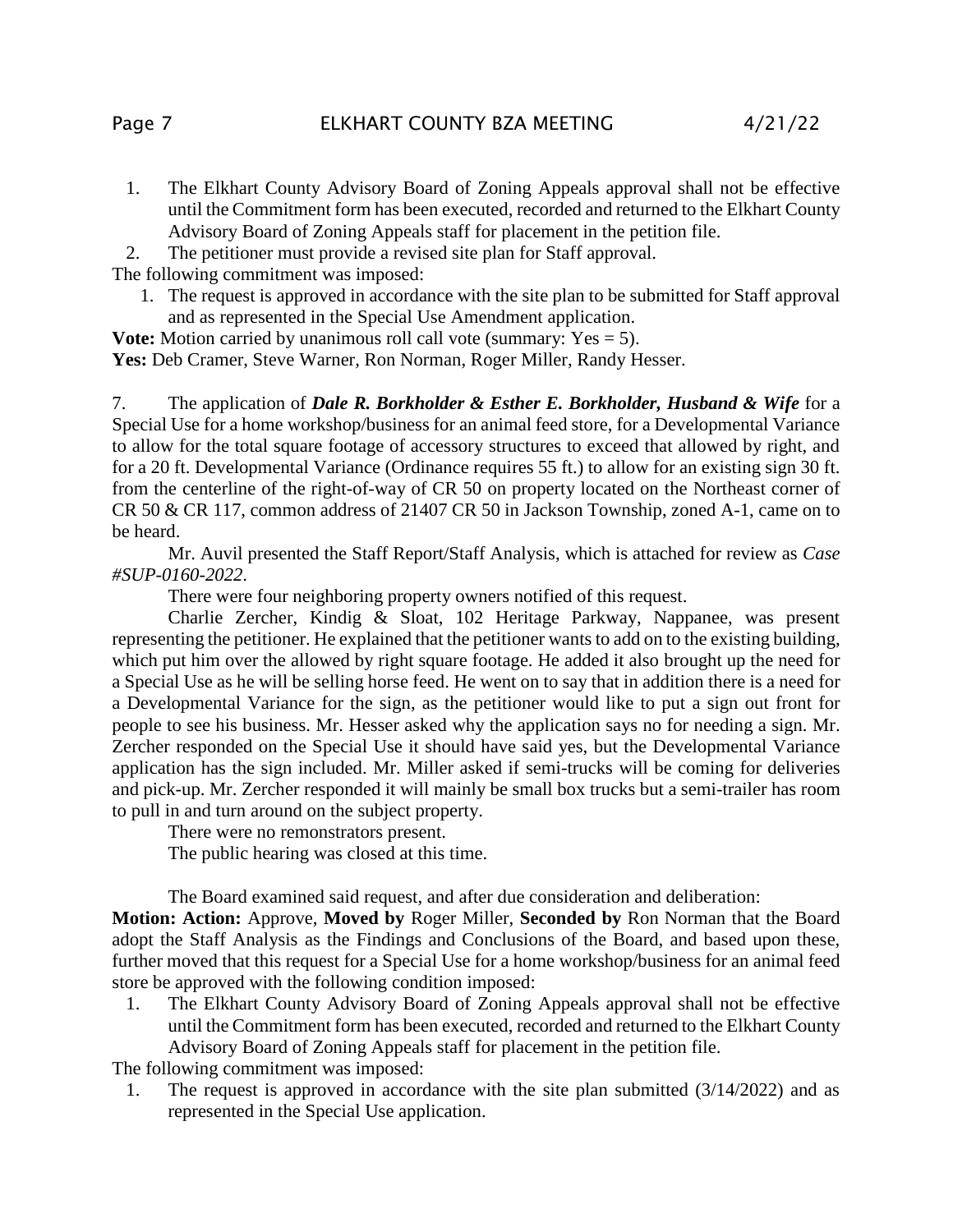- 1. The Elkhart County Advisory Board of Zoning Appeals approval shall not be effective until the Commitment form has been executed, recorded and returned to the Elkhart County Advisory Board of Zoning Appeals staff for placement in the petition file.
- 2. The petitioner must provide a revised site plan for Staff approval.

The following commitment was imposed:

1. The request is approved in accordance with the site plan to be submitted for Staff approval and as represented in the Special Use Amendment application.

**Vote:** Motion carried by unanimous roll call vote (summary: Yes = 5).

**Yes:** Deb Cramer, Steve Warner, Ron Norman, Roger Miller, Randy Hesser.

7. The application of *Dale R. Borkholder & Esther E. Borkholder, Husband & Wife* for a Special Use for a home workshop/business for an animal feed store, for a Developmental Variance to allow for the total square footage of accessory structures to exceed that allowed by right, and for a 20 ft. Developmental Variance (Ordinance requires 55 ft.) to allow for an existing sign 30 ft. from the centerline of the right-of-way of CR 50 on property located on the Northeast corner of CR 50 & CR 117, common address of 21407 CR 50 in Jackson Township, zoned A-1, came on to be heard.

Mr. Auvil presented the Staff Report/Staff Analysis, which is attached for review as *Case #SUP-0160-2022*.

There were four neighboring property owners notified of this request.

Charlie Zercher, Kindig & Sloat, 102 Heritage Parkway, Nappanee, was present representing the petitioner. He explained that the petitioner wants to add on to the existing building, which put him over the allowed by right square footage. He added it also brought up the need for a Special Use as he will be selling horse feed. He went on to say that in addition there is a need for a Developmental Variance for the sign, as the petitioner would like to put a sign out front for people to see his business. Mr. Hesser asked why the application says no for needing a sign. Mr. Zercher responded on the Special Use it should have said yes, but the Developmental Variance application has the sign included. Mr. Miller asked if semi-trucks will be coming for deliveries and pick-up. Mr. Zercher responded it will mainly be small box trucks but a semi-trailer has room to pull in and turn around on the subject property.

There were no remonstrators present.

The public hearing was closed at this time.

The Board examined said request, and after due consideration and deliberation:

**Motion: Action:** Approve, **Moved by** Roger Miller, **Seconded by** Ron Norman that the Board adopt the Staff Analysis as the Findings and Conclusions of the Board, and based upon these, further moved that this request for a Special Use for a home workshop/business for an animal feed store be approved with the following condition imposed:

1. The Elkhart County Advisory Board of Zoning Appeals approval shall not be effective until the Commitment form has been executed, recorded and returned to the Elkhart County Advisory Board of Zoning Appeals staff for placement in the petition file.

The following commitment was imposed:

1. The request is approved in accordance with the site plan submitted (3/14/2022) and as represented in the Special Use application.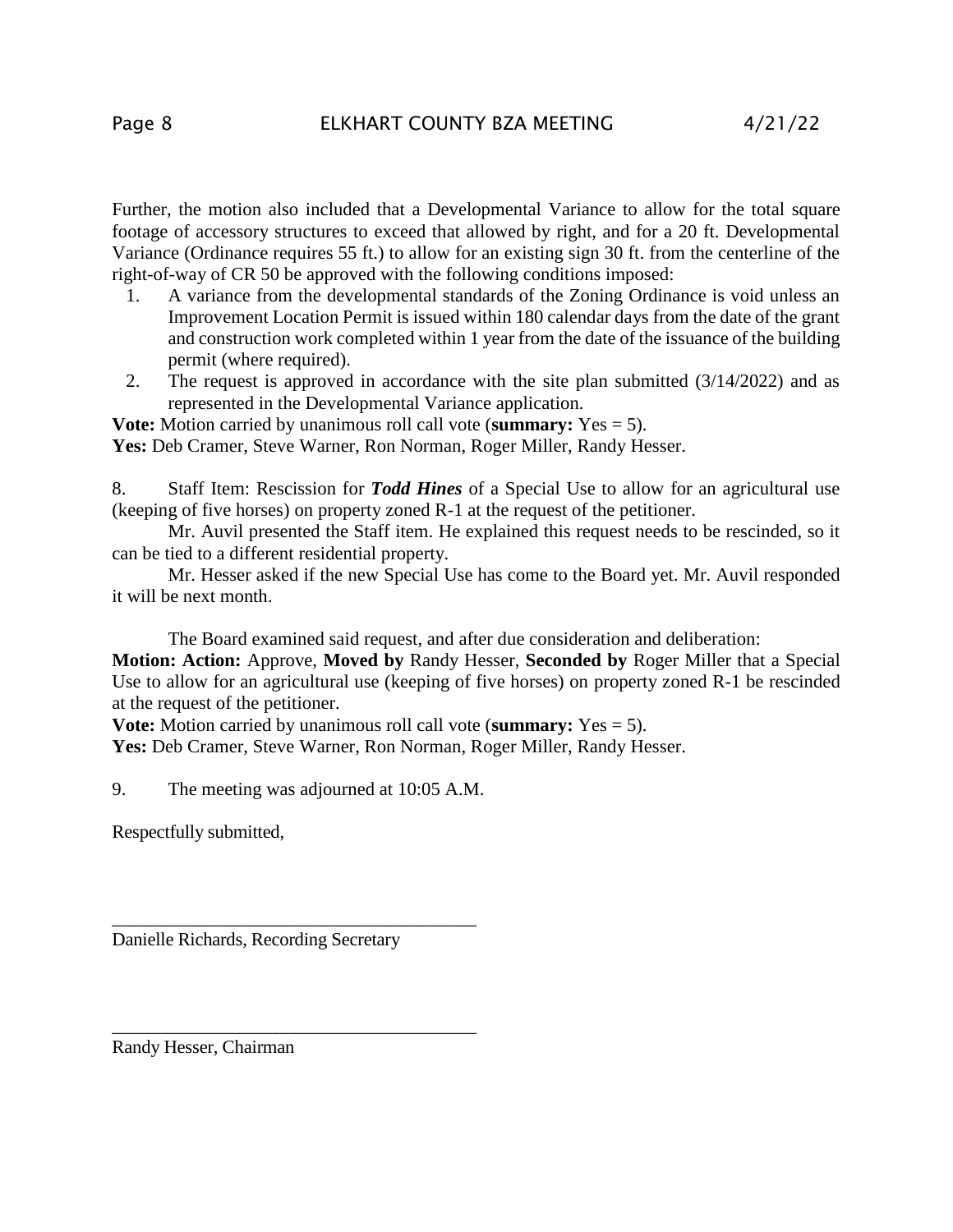Further, the motion also included that a Developmental Variance to allow for the total square footage of accessory structures to exceed that allowed by right, and for a 20 ft. Developmental Variance (Ordinance requires 55 ft.) to allow for an existing sign 30 ft. from the centerline of the right-of-way of CR 50 be approved with the following conditions imposed:

- 1. A variance from the developmental standards of the Zoning Ordinance is void unless an Improvement Location Permit is issued within 180 calendar days from the date of the grant and construction work completed within 1 year from the date of the issuance of the building permit (where required).
- 2. The request is approved in accordance with the site plan submitted (3/14/2022) and as represented in the Developmental Variance application.

**Vote:** Motion carried by unanimous roll call vote (**summary:** Yes = 5).

Yes: Deb Cramer, Steve Warner, Ron Norman, Roger Miller, Randy Hesser.

8. Staff Item: Rescission for *Todd Hines* of a Special Use to allow for an agricultural use (keeping of five horses) on property zoned R-1 at the request of the petitioner.

Mr. Auvil presented the Staff item. He explained this request needs to be rescinded, so it can be tied to a different residential property.

Mr. Hesser asked if the new Special Use has come to the Board yet. Mr. Auvil responded it will be next month.

The Board examined said request, and after due consideration and deliberation:

**Motion: Action:** Approve, **Moved by** Randy Hesser, **Seconded by** Roger Miller that a Special Use to allow for an agricultural use (keeping of five horses) on property zoned R-1 be rescinded at the request of the petitioner.

**Vote:** Motion carried by unanimous roll call vote (**summary:** Yes = 5).

Yes: Deb Cramer, Steve Warner, Ron Norman, Roger Miller, Randy Hesser.

9. The meeting was adjourned at 10:05 A.M.

\_\_\_\_\_\_\_\_\_\_\_\_\_\_\_\_\_\_\_\_\_\_\_\_\_\_\_\_\_\_\_\_\_\_\_\_\_\_\_\_

\_\_\_\_\_\_\_\_\_\_\_\_\_\_\_\_\_\_\_\_\_\_\_\_\_\_\_\_\_\_\_\_\_\_\_\_\_\_\_\_

Respectfully submitted,

Danielle Richards, Recording Secretary

Randy Hesser, Chairman